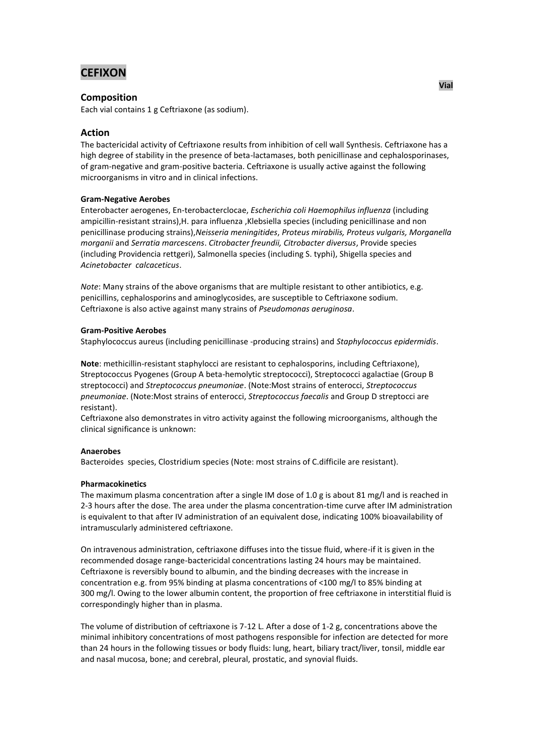# **CEFIXON**

# **Composition**

Each vial contains 1 g Ceftriaxone (as sodium).

# **Action**

The bactericidal activity of Ceftriaxone results from inhibition of cell wall Synthesis. Ceftriaxone has a high degree of stability in the presence of beta-lactamases, both penicillinase and cephalosporinases, of gram-negative and gram-positive bacteria. Ceftriaxone is usually active against the following microorganisms in vitro and in clinical infections.

# **Gram-Negative Aerobes**

Enterobacter aerogenes, En-terobacterclocae, *Escherichia coli Haemophilus influenza* (including ampicillin-resistant strains),H. para influenza ,Klebsiella species (including penicillinase and non penicillinase producing strains),*Neisseria meningitides*, *Proteus mirabilis, Proteus vulgaris, Morganella morganii* and *Serratia marcescens*. *Citrobacter freundii, Citrobacter diversus*, Provide species (including Providencia rettgeri), Salmonella species (including S. typhi), Shigella species and *Acinetobacter calcaceticus*.

*Note*: Many strains of the above organisms that are multiple resistant to other antibiotics, e.g. penicillins, cephalosporins and aminoglycosides, are susceptible to Ceftriaxone sodium. Ceftriaxone is also active against many strains of *Pseudomonas aeruginosa*.

### **Gram-Positive Aerobes**

Staphylococcus aureus (including penicillinase -producing strains) and *Staphylococcus epidermidis*.

**Note**: methicillin-resistant staphylocci are resistant to cephalosporins, including Ceftriaxone), Streptococcus Pyogenes (Group A beta-hemolytic streptococci), Streptococci agalactiae (Group B streptococci) and *Streptococcus pneumoniae*. (Note:Most strains of enterocci, *Streptococcus pneumoniae*. (Note:Most strains of enterocci, *Streptococcus faecalis* and Group D streptocci are resistant).

Ceftriaxone also demonstrates in vitro activity against the following microorganisms, although the clinical significance is unknown:

# **Anaerobes**

Bacteroides species, Clostridium species (Note: most strains of C.difficile are resistant).

### **Pharmacokinetics**

The maximum plasma concentration after a single IM dose of 1.0 g is about 81 mg/l and is reached in 2-3 hours after the dose. The area under the plasma concentration-time curve after IM administration is equivalent to that after IV administration of an equivalent dose, indicating 100% bioavailability of intramuscularly administered ceftriaxone.

On intravenous administration, ceftriaxone diffuses into the tissue fluid, where-if it is given in the recommended dosage range-bactericidal concentrations lasting 24 hours may be maintained. Ceftriaxone is reversibly bound to albumin, and the binding decreases with the increase in concentration e.g. from 95% binding at plasma concentrations of <100 mg/l to 85% binding at 300 mg/l. Owing to the lower albumin content, the proportion of free ceftriaxone in interstitial fluid is correspondingly higher than in plasma.

The volume of distribution of ceftriaxone is 7-12 L. After a dose of 1-2 g, concentrations above the minimal inhibitory concentrations of most pathogens responsible for infection are detected for more than 24 hours in the following tissues or body fluids: lung, heart, biliary tract/liver, tonsil, middle ear and nasal mucosa, bone; and cerebral, pleural, prostatic, and synovial fluids.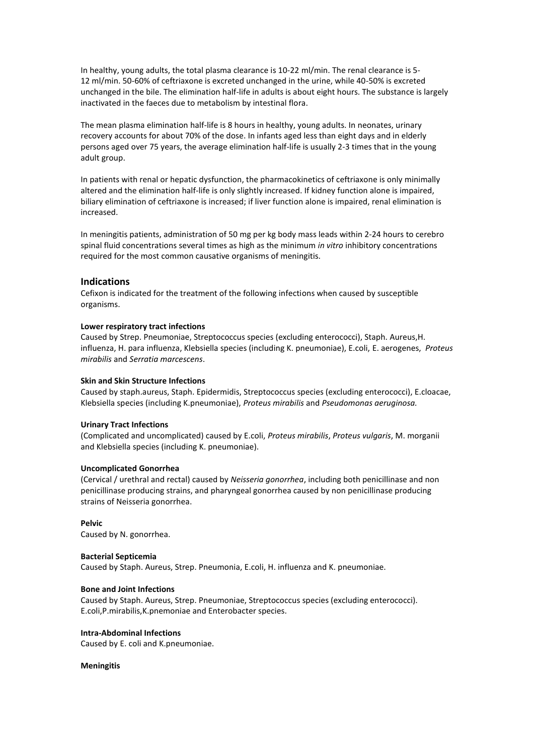In healthy, young adults, the total plasma clearance is 10-22 ml/min. The renal clearance is 5- 12 ml/min. 50-60% of ceftriaxone is excreted unchanged in the urine, while 40-50% is excreted unchanged in the bile. The elimination half-life in adults is about eight hours. The substance is largely inactivated in the faeces due to metabolism by intestinal flora.

The mean plasma elimination half-life is 8 hours in healthy, young adults. In neonates, urinary recovery accounts for about 70% of the dose. In infants aged less than eight days and in elderly persons aged over 75 years, the average elimination half-life is usually 2-3 times that in the young adult group.

In patients with renal or hepatic dysfunction, the pharmacokinetics of ceftriaxone is only minimally altered and the elimination half-life is only slightly increased. If kidney function alone is impaired, biliary elimination of ceftriaxone is increased; if liver function alone is impaired, renal elimination is increased.

In meningitis patients, administration of 50 mg per kg body mass leads within 2-24 hours to cerebro spinal fluid concentrations several times as high as the minimum *in vitro* inhibitory concentrations required for the most common causative organisms of meningitis.

# **Indications**

Cefixon is indicated for the treatment of the following infections when caused by susceptible organisms.

#### **Lower respiratory tract infections**

Caused by Strep. Pneumoniae, Streptococcus species (excluding enterococci), Staph. Aureus,H. influenza, H. para influenza, Klebsiella species (including K. pneumoniae), E.coli, E. aerogenes, *Proteus mirabilis* and *Serratia marcescens*.

#### **Skin and Skin Structure Infections**

Caused by staph.aureus, Staph. Epidermidis, Streptococcus species (excluding enterococci), E.cloacae, Klebsiella species (including K.pneumoniae), *Proteus mirabilis* and *Pseudomonas aeruginosa.* 

#### **Urinary Tract Infections**

(Complicated and uncomplicated) caused by E.coli, *Proteus mirabilis*, *Proteus vulgaris*, M. morganii and Klebsiella species (including K. pneumoniae).

#### **Uncomplicated Gonorrhea**

(Cervical / urethral and rectal) caused by *Neisseria gonorrhea*, including both penicillinase and non penicillinase producing strains, and pharyngeal gonorrhea caused by non penicillinase producing strains of Neisseria gonorrhea.

#### **Pelvic**

Caused by N. gonorrhea.

### **Bacterial Septicemia**

Caused by Staph. Aureus, Strep. Pneumonia, E.coli, H. influenza and K. pneumoniae.

#### **Bone and Joint Infections**

Caused by Staph. Aureus, Strep. Pneumoniae, Streptococcus species (excluding enterococci). E.coli,P.mirabilis,K.pnemoniae and Enterobacter species.

### **Intra-Abdominal Infections**

Caused by E. coli and K.pneumoniae.

#### **Meningitis**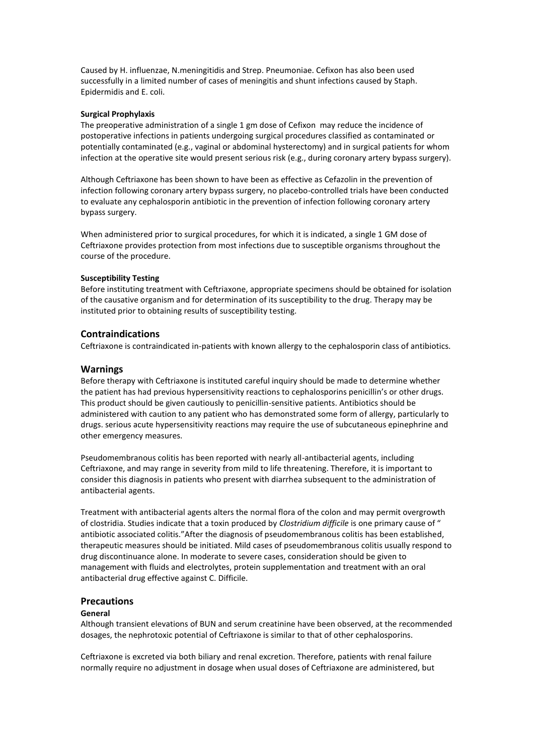Caused by H. influenzae, N.meningitidis and Strep. Pneumoniae. Cefixon has also been used successfully in a limited number of cases of meningitis and shunt infections caused by Staph. Epidermidis and E. coli.

### **Surgical Prophylaxis**

The preoperative administration of a single 1 gm dose of Cefixon may reduce the incidence of postoperative infections in patients undergoing surgical procedures classified as contaminated or potentially contaminated (e.g., vaginal or abdominal hysterectomy) and in surgical patients for whom infection at the operative site would present serious risk (e.g., during coronary artery bypass surgery).

Although Ceftriaxone has been shown to have been as effective as Cefazolin in the prevention of infection following coronary artery bypass surgery, no placebo-controlled trials have been conducted to evaluate any cephalosporin antibiotic in the prevention of infection following coronary artery bypass surgery.

When administered prior to surgical procedures, for which it is indicated, a single 1 GM dose of Ceftriaxone provides protection from most infections due to susceptible organisms throughout the course of the procedure.

### **Susceptibility Testing**

Before instituting treatment with Ceftriaxone, appropriate specimens should be obtained for isolation of the causative organism and for determination of its susceptibility to the drug. Therapy may be instituted prior to obtaining results of susceptibility testing.

# **Contraindications**

Ceftriaxone is contraindicated in-patients with known allergy to the cephalosporin class of antibiotics.

# **Warnings**

Before therapy with Ceftriaxone is instituted careful inquiry should be made to determine whether the patient has had previous hypersensitivity reactions to cephalosporins penicillin's or other drugs. This product should be given cautiously to penicillin-sensitive patients. Antibiotics should be administered with caution to any patient who has demonstrated some form of allergy, particularly to drugs. serious acute hypersensitivity reactions may require the use of subcutaneous epinephrine and other emergency measures.

Pseudomembranous colitis has been reported with nearly all-antibacterial agents, including Ceftriaxone, and may range in severity from mild to life threatening. Therefore, it is important to consider this diagnosis in patients who present with diarrhea subsequent to the administration of antibacterial agents.

Treatment with antibacterial agents alters the normal flora of the colon and may permit overgrowth of clostridia. Studies indicate that a toxin produced by *Clostridium difficile* is one primary cause of " antibiotic associated colitis."After the diagnosis of pseudomembranous colitis has been established, therapeutic measures should be initiated. Mild cases of pseudomembranous colitis usually respond to drug discontinuance alone. In moderate to severe cases, consideration should be given to management with fluids and electrolytes, protein supplementation and treatment with an oral antibacterial drug effective against C. Difficile.

# **Precautions**

### **General**

Although transient elevations of BUN and serum creatinine have been observed, at the recommended dosages, the nephrotoxic potential of Ceftriaxone is similar to that of other cephalosporins.

Ceftriaxone is excreted via both biliary and renal excretion. Therefore, patients with renal failure normally require no adjustment in dosage when usual doses of Ceftriaxone are administered, but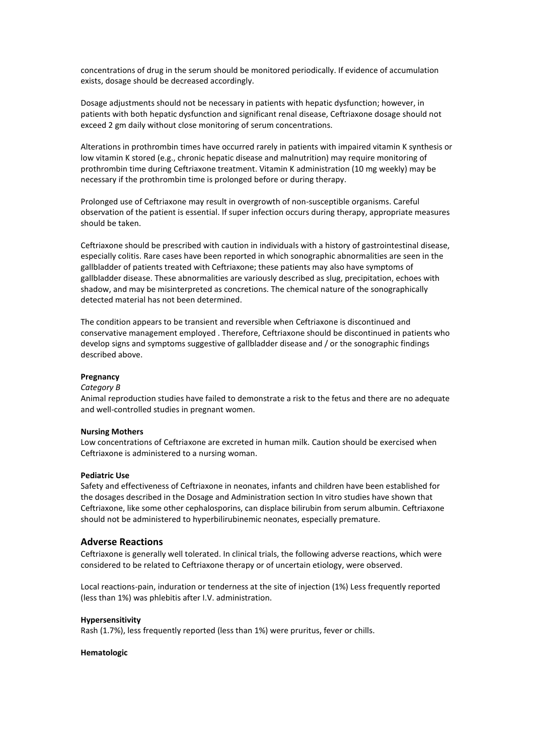concentrations of drug in the serum should be monitored periodically. If evidence of accumulation exists, dosage should be decreased accordingly.

Dosage adjustments should not be necessary in patients with hepatic dysfunction; however, in patients with both hepatic dysfunction and significant renal disease, Ceftriaxone dosage should not exceed 2 gm daily without close monitoring of serum concentrations.

Alterations in prothrombin times have occurred rarely in patients with impaired vitamin K synthesis or low vitamin K stored (e.g., chronic hepatic disease and malnutrition) may require monitoring of prothrombin time during Ceftriaxone treatment. Vitamin K administration (10 mg weekly) may be necessary if the prothrombin time is prolonged before or during therapy.

Prolonged use of Ceftriaxone may result in overgrowth of non-susceptible organisms. Careful observation of the patient is essential. If super infection occurs during therapy, appropriate measures should be taken.

Ceftriaxone should be prescribed with caution in individuals with a history of gastrointestinal disease, especially colitis. Rare cases have been reported in which sonographic abnormalities are seen in the gallbladder of patients treated with Ceftriaxone; these patients may also have symptoms of gallbladder disease. These abnormalities are variously described as slug, precipitation, echoes with shadow, and may be misinterpreted as concretions. The chemical nature of the sonographically detected material has not been determined.

The condition appears to be transient and reversible when Ceftriaxone is discontinued and conservative management employed . Therefore, Ceftriaxone should be discontinued in patients who develop signs and symptoms suggestive of gallbladder disease and / or the sonographic findings described above.

### **Pregnancy**

#### *Category B*

Animal reproduction studies have failed to demonstrate a risk to the fetus and there are no adequate and well-controlled studies in pregnant women.

#### **Nursing Mothers**

Low concentrations of Ceftriaxone are excreted in human milk. Caution should be exercised when Ceftriaxone is administered to a nursing woman.

#### **Pediatric Use**

Safety and effectiveness of Ceftriaxone in neonates, infants and children have been established for the dosages described in the Dosage and Administration section In vitro studies have shown that Ceftriaxone, like some other cephalosporins, can displace bilirubin from serum albumin. Ceftriaxone should not be administered to hyperbilirubinemic neonates, especially premature.

### **Adverse Reactions**

Ceftriaxone is generally well tolerated. In clinical trials, the following adverse reactions, which were considered to be related to Ceftriaxone therapy or of uncertain etiology, were observed.

Local reactions-pain, induration or tenderness at the site of injection (1%) Less frequently reported (less than 1%) was phlebitis after I.V. administration.

#### **Hypersensitivity**

Rash (1.7%), less frequently reported (less than 1%) were pruritus, fever or chills.

#### **Hematologic**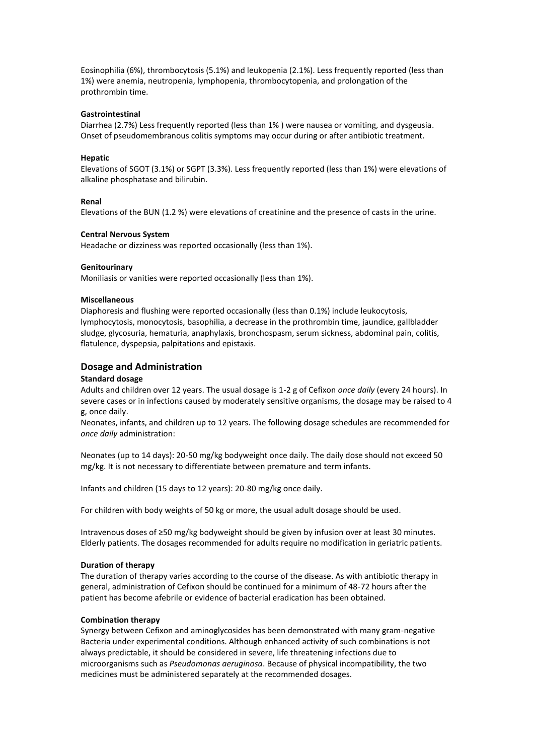Eosinophilia (6%), thrombocytosis (5.1%) and leukopenia (2.1%). Less frequently reported (less than 1%) were anemia, neutropenia, lymphopenia, thrombocytopenia, and prolongation of the prothrombin time.

### **Gastrointestinal**

Diarrhea (2.7%) Less frequently reported (less than 1% ) were nausea or vomiting, and dysgeusia. Onset of pseudomembranous colitis symptoms may occur during or after antibiotic treatment.

### **Hepatic**

Elevations of SGOT (3.1%) or SGPT (3.3%). Less frequently reported (less than 1%) were elevations of alkaline phosphatase and bilirubin.

### **Renal**

Elevations of the BUN (1.2 %) were elevations of creatinine and the presence of casts in the urine.

### **Central Nervous System**

Headache or dizziness was reported occasionally (less than 1%).

### **Genitourinary**

Moniliasis or vanities were reported occasionally (less than 1%).

### **Miscellaneous**

Diaphoresis and flushing were reported occasionally (less than 0.1%) include leukocytosis, lymphocytosis, monocytosis, basophilia, a decrease in the prothrombin time, jaundice, gallbladder sludge, glycosuria, hematuria, anaphylaxis, bronchospasm, serum sickness, abdominal pain, colitis, flatulence, dyspepsia, palpitations and epistaxis.

# **Dosage and Administration**

### **Standard dosage**

Adults and children over 12 years. The usual dosage is 1-2 g of Cefixon *once daily* (every 24 hours). In severe cases or in infections caused by moderately sensitive organisms, the dosage may be raised to 4 g, once daily.

Neonates, infants, and children up to 12 years. The following dosage schedules are recommended for *once daily* administration:

Neonates (up to 14 days): 20-50 mg/kg bodyweight once daily. The daily dose should not exceed 50 mg/kg. It is not necessary to differentiate between premature and term infants.

Infants and children (15 days to 12 years): 20-80 mg/kg once daily.

For children with body weights of 50 kg or more, the usual adult dosage should be used.

Intravenous doses of ≥50 mg/kg bodyweight should be given by infusion over at least 30 minutes. Elderly patients. The dosages recommended for adults require no modification in geriatric patients.

### **Duration of therapy**

The duration of therapy varies according to the course of the disease. As with antibiotic therapy in general, administration of Cefixon should be continued for a minimum of 48-72 hours after the patient has become afebrile or evidence of bacterial eradication has been obtained.

### **Combination therapy**

Synergy between Cefixon and aminoglycosides has been demonstrated with many gram-negative Bacteria under experimental conditions. Although enhanced activity of such combinations is not always predictable, it should be considered in severe, life threatening infections due to microorganisms such as *Pseudomonas aeruginosa*. Because of physical incompatibility, the two medicines must be administered separately at the recommended dosages.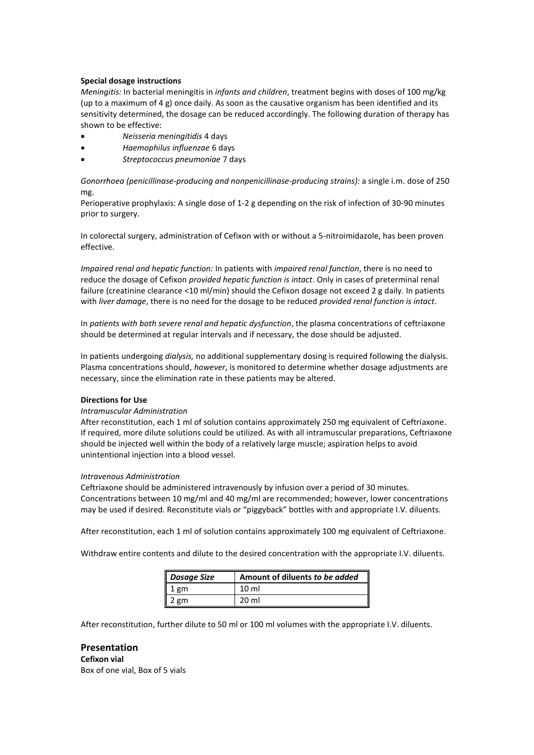# **Special dosage instructions**

*Meningitis:* In bacterial meningitis in *infants and children*, treatment begins with doses of 100 mg/kg (up to a maximum of 4 g) once daily. As soon as the causative organism has been identified and its sensitivity determined, the dosage can be reduced accordingly. The following duration of therapy has shown to be effective:

- *Neisseria meningitidis* 4 days
- *Haemophilus influenzae* 6 days
- *Streptococcus pneumoniae* 7 days

*Gonorrhoea (penicillinase-producing and nonpenicillinase-producing strains):* a single i.m. dose of 250 mg.

Perioperative prophylaxis: A single dose of 1-2 g depending on the risk of infection of 30-90 minutes prior to surgery.

In colorectal surgery, administration of Cefixon with or without a 5-nitroimidazole, has been proven effective.

*Impaired renal and hepatic function:* In patients with *impaired renal function*, there is no need to reduce the dosage of Cefixon *provided hepatic function is intact*. Only in cases of preterminal renal failure (creatinine clearance <10 ml/min) should the Cefixon dosage not exceed 2 g daily. In patients with *liver damage*, there is no need for the dosage to be reduced *provided renal function is intact*.

In *patients with both severe renal and hepatic dysfunction*, the plasma concentrations of ceftriaxone should be determined at regular intervals and if necessary, the dose should be adjusted.

In patients undergoing *dialysis,* no additional supplementary dosing is required following the dialysis. Plasma concentrations should, *however*, is monitored to determine whether dosage adjustments are necessary, since the elimination rate in these patients may be altered.

### **Directions for Use**

### *Intramuscular Administration*

After reconstitution, each 1 ml of solution contains approximately 250 mg equivalent of Ceftriaxone. If required, more dilute solutions could be utilized. As with all intramuscular preparations, Ceftriaxone should be injected well within the body of a relatively large muscle; aspiration helps to avoid unintentional injection into a blood vessel.

### *Intravenous Administration*

Ceftriaxone should be administered intravenously by infusion over a period of 30 minutes. Concentrations between 10 mg/ml and 40 mg/ml are recommended; however, lower concentrations may be used if desired. Reconstitute vials or "piggyback" bottles with and appropriate I.V. diluents.

After reconstitution, each 1 ml of solution contains approximately 100 mg equivalent of Ceftriaxone.

Withdraw entire contents and dilute to the desired concentration with the appropriate I.V. diluents.

| Dosage Size | Amount of diluents to be added |
|-------------|--------------------------------|
| 1 gm        | $10 \text{ ml}$                |
| 2 gm        | 20 ml                          |

After reconstitution, further dilute to 50 ml or 100 ml volumes with the appropriate I.V. diluents.

**Presentation Cefixon vial** Box of one vial, Box of 5 vials